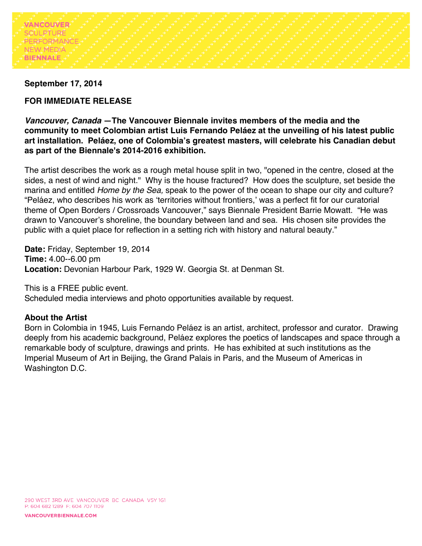

#### **September 17, 2014**

# **FOR IMMEDIATE RELEASE**

*Vancouver, Canada* **—The Vancouver Biennale invites members of the media and the community to meet Colombian artist Luis Fernando Peláez at the unveiling of his latest public art installation.****Peláez, one of Colombia's greatest masters, will celebrate his Canadian debut as part of the Biennale's 2014-2016 exhibition.**

The artist describes the work as a rough metal house split in two, "opened in the centre, closed at the sides, a nest of wind and night." Why is the house fractured? How does the sculpture, set beside the marina and entitled *Home by the Sea,* speak to the power of the ocean to shape our city and culture? "Peláez, who describes his work as 'territories without frontiers,' was a perfect fit for our curatorial theme of Open Borders / Crossroads Vancouver," says Biennale President Barrie Mowatt. "He was drawn to Vancouver's shoreline, the boundary between land and sea. His chosen site provides the public with a quiet place for reflection in a setting rich with history and natural beauty."

**Date:** Friday, September 19, 2014 **Time:** 4.00--6.00 pm **Location:** Devonian Harbour Park, 1929 W. Georgia St. at Denman St.

This is a FREE public event. Scheduled media interviews and photo opportunities available by request.

## **About the Artist**

Born in Colombia in 1945, Luis Fernando Peláez is an artist, architect, professor and curator. Drawing deeply from his academic background, Peláez explores the poetics of landscapes and space through a remarkable body of sculpture, drawings and prints. He has exhibited at such institutions as the Imperial Museum of Art in Beijing, the Grand Palais in Paris, and the Museum of Americas in Washington D.C.